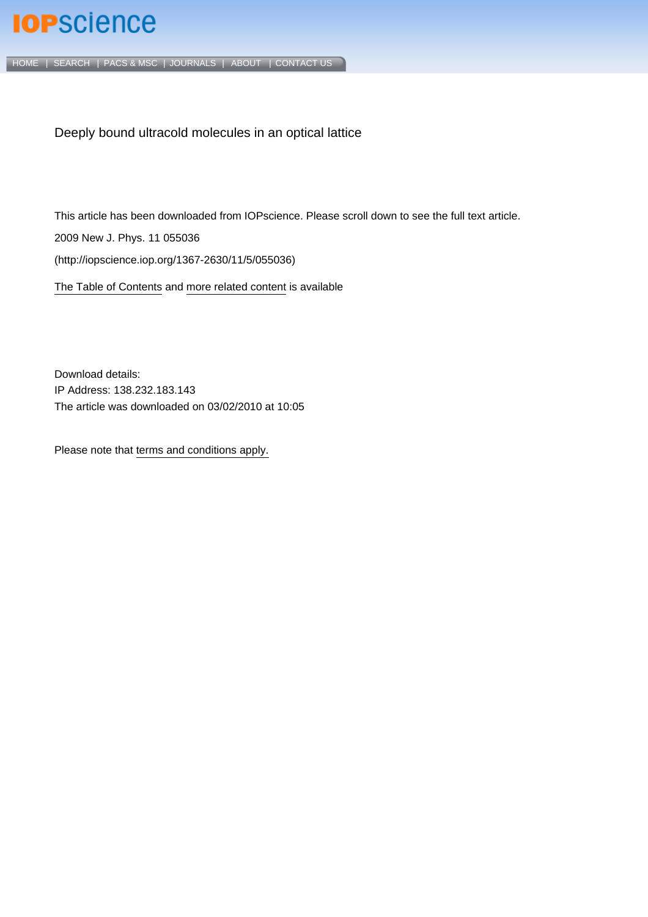## **IOP**science

[HOME](http://iopscience.iop.org/) | [SEARCH](http://iopscience.iop.org/search) | [PACS & MSC](http://iopscience.iop.org/pacs) | [JOURNALS](http://iopscience.iop.org/journals) | [ABOUT](http://iopscience.iop.org/page/aboutioppublishing) | [CONTACT US](http://iopscience.iop.org/contact)

Deeply bound ultracold molecules in an optical lattice

This article has been downloaded from IOPscience. Please scroll down to see the full text article. 2009 New J. Phys. 11 055036 (http://iopscience.iop.org/1367-2630/11/5/055036)

[The Table of Contents](http://iopscience.iop.org/1367-2630/11/5) and [more related content](http://iopscience.iop.org/1367-2630/11/5/055036/related) is available

Download details: IP Address: 138.232.183.143 The article was downloaded on 03/02/2010 at 10:05

Please note that [terms and conditions apply.](http://www.iop.org/Terms_&_Conditions)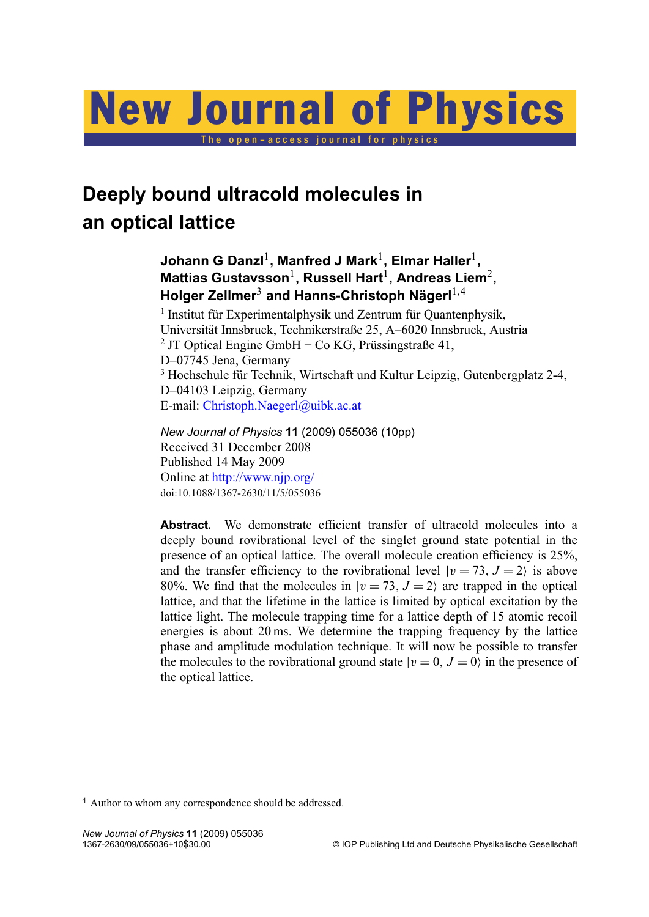# New Journal of Physics

The open-access journal for physics

### **Deeply bound ultracold molecules in an optical lattice**

#### Johann G Danzl<sup>1</sup>, Manfred J Mark<sup>1</sup>, Elmar Haller<sup>1</sup>, **Mattias Gustavsson**<sup>1</sup> **, Russell Hart**<sup>1</sup> **, Andreas Liem**<sup>2</sup> **, Holger Zellmer**<sup>3</sup> and Hanns-Christoph Nägerl<sup>1,4</sup>

<sup>1</sup> Institut für Experimentalphysik und Zentrum für Quantenphysik, Universität Innsbruck, Technikerstraße 25, A–6020 Innsbruck, Austria 2 JT Optical Engine GmbH + Co KG, Prüssingstraße 41, D–07745 Jena, Germany <sup>3</sup> Hochschule für Technik, Wirtschaft und Kultur Leipzig, Gutenbergplatz 2-4, D–04103 Leipzig, Germany E-mail: [Christoph.Naegerl@uibk.ac.at](mailto:Christoph.Naegerl@uibk.ac.at)

*New Journal of Physics* **11** (2009) 055036 (10pp) Received 31 December 2008 Published 14 May 2009 Online at <http://www.njp.org/> doi:10.1088/1367-2630/11/5/055036

Abstract. We demonstrate efficient transfer of ultracold molecules into a deeply bound rovibrational level of the singlet ground state potential in the presence of an optical lattice. The overall molecule creation efficiency is 25%, and the transfer efficiency to the rovibrational level  $|v = 73, J = 2\rangle$  is above 80%. We find that the molecules in  $|v = 73, J = 2\rangle$  are trapped in the optical lattice, and that the lifetime in the lattice is limited by optical excitation by the lattice light. The molecule trapping time for a lattice depth of 15 atomic recoil energies is about 20 ms. We determine the trapping frequency by the lattice phase and amplitude modulation technique. It will now be possible to transfer the molecules to the rovibrational ground state  $|v = 0, J = 0\rangle$  in the presence of the optical lattice.

<sup>4</sup> Author to whom any correspondence should be addressed.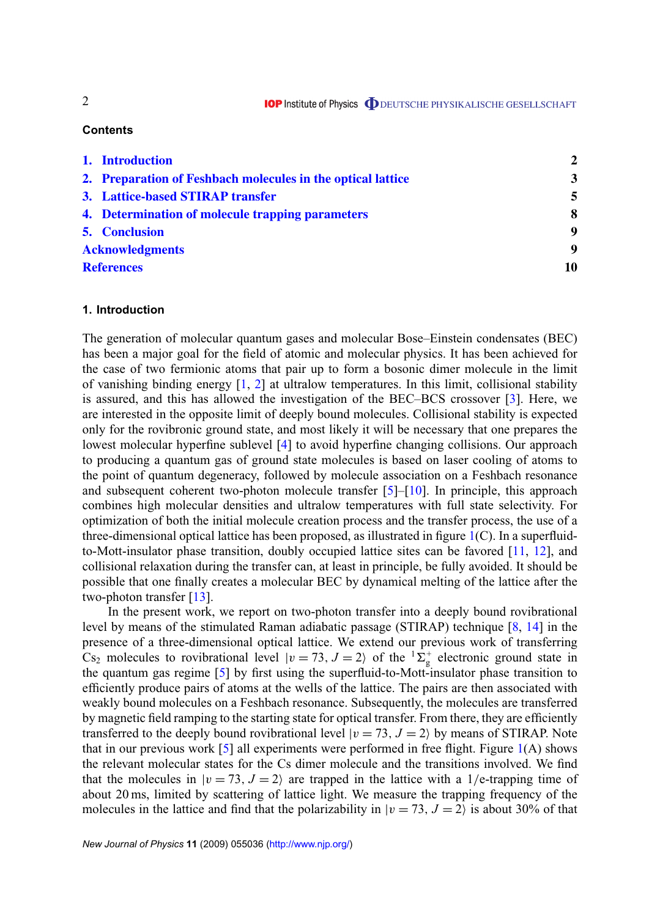#### **Contents**

|                        | 1. Introduction                                             | $\mathbf{2}$ |
|------------------------|-------------------------------------------------------------|--------------|
|                        | 2. Preparation of Feshbach molecules in the optical lattice | 3            |
|                        | 3. Lattice-based STIRAP transfer                            | 5            |
|                        | 4. Determination of molecule trapping parameters            | 8            |
|                        | <b>5.</b> Conclusion                                        | 9            |
| <b>Acknowledgments</b> |                                                             | 9            |
| <b>References</b>      |                                                             | 10           |

#### **1. Introduction**

The generation of molecular quantum gases and molecular Bose–Einstein condensates (BEC) has been a major goal for the field of atomic and molecular physics. It has been achieved for the case of two fermionic atoms that pair up to form a bosonic dimer molecule in the limit of vanishing binding energy  $\lceil 1, 2 \rceil$  at ultralow temperatures. In this limit, collisional stability is assured, and this has allowed the investigation of the BEC–BCS crossover [\[3\]](#page-10-0). Here, we are interested in the opposite limit of deeply bound molecules. Collisional stability is expected only for the rovibronic ground state, and most likely it will be necessary that one prepares the lowest molecular hyperfine sublevel [\[4\]](#page-10-0) to avoid hyperfine changing collisions. Our approach to producing a quantum gas of ground state molecules is based on laser cooling of atoms to the point of quantum degeneracy, followed by molecule association on a Feshbach resonance and subsequent coherent two-photon molecule transfer  $[5]$ – $[10]$ . In principle, this approach combines high molecular densities and ultralow temperatures with full state selectivity. For optimization of both the initial molecule creation process and the transfer process, the use of a three-dimensional optical lattice has been proposed, as illustrated in figure  $1(C)$  $1(C)$ . In a superfluidto-Mott-insulator phase transition, doubly occupied lattice sites can be favored [\[11,](#page-10-0) [12\]](#page-10-0), and collisional relaxation during the transfer can, at least in principle, be fully avoided. It should be possible that one finally creates a molecular BEC by dynamical melting of the lattice after the two-photon transfer [\[13\]](#page-10-0).

In the present work, we report on two-photon transfer into a deeply bound rovibrational level by means of the stimulated Raman adiabatic passage (STIRAP) technique [\[8,](#page-10-0) [14\]](#page-10-0) in the presence of a three-dimensional optical lattice. We extend our previous work of transferring  $\text{Cs}_2$  molecules to rovibrational level  $|v = 73, J = 2\rangle$  of the  ${}^{1}\Sigma_g^+$  electronic ground state in the quantum gas regime [\[5\]](#page-10-0) by first using the superfluid-to-Mott-insulator phase transition to efficiently produce pairs of atoms at the wells of the lattice. The pairs are then associated with weakly bound molecules on a Feshbach resonance. Subsequently, the molecules are transferred by magnetic field ramping to the starting state for optical transfer. From there, they are efficiently transferred to the deeply bound rovibrational level  $|v = 73, J = 2\rangle$  by means of STIRAP. Note that in our previous work [\[5\]](#page-10-0) all experiments were performed in free flight. Figure  $1(A)$  $1(A)$  shows the relevant molecular states for the Cs dimer molecule and the transitions involved. We find that the molecules in  $|v = 73, J = 2\rangle$  are trapped in the lattice with a 1/e-trapping time of about 20 ms, limited by scattering of lattice light. We measure the trapping frequency of the molecules in the lattice and find that the polarizability in  $|v = 73, J = 2\rangle$  is about 30% of that

2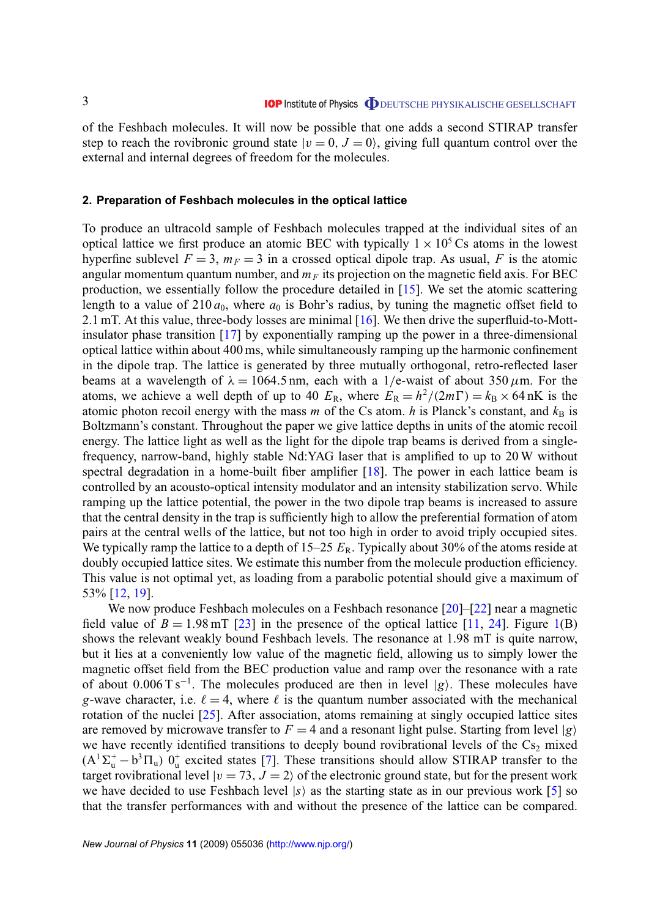<span id="page-3-0"></span>of the Feshbach molecules. It will now be possible that one adds a second STIRAP transfer step to reach the rovibronic ground state  $|v = 0, J = 0\rangle$ , giving full quantum control over the external and internal degrees of freedom for the molecules.

#### **2. Preparation of Feshbach molecules in the optical lattice**

To produce an ultracold sample of Feshbach molecules trapped at the individual sites of an optical lattice we first produce an atomic BEC with typically  $1 \times 10^5$  Cs atoms in the lowest hyperfine sublevel  $F = 3$ ,  $m_F = 3$  in a crossed optical dipole trap. As usual, F is the atomic angular momentum quantum number, and  $m_F$  its projection on the magnetic field axis. For BEC production, we essentially follow the procedure detailed in [\[15\]](#page-10-0). We set the atomic scattering length to a value of  $210 a_0$ , where  $a_0$  is Bohr's radius, by tuning the magnetic offset field to 2.1 mT. At this value, three-body losses are minimal [\[16\]](#page-10-0). We then drive the superfluid-to-Mottinsulator phase transition [\[17\]](#page-10-0) by exponentially ramping up the power in a three-dimensional optical lattice within about 400 ms, while simultaneously ramping up the harmonic confinement in the dipole trap. The lattice is generated by three mutually orthogonal, retro-reflected laser beams at a wavelength of  $\lambda = 1064.5$  nm, each with a 1/e-waist of about 350  $\mu$ m. For the atoms, we achieve a well depth of up to 40  $E_R$ , where  $E_R = h^2/(2m\Gamma) = k_B \times 64$  nK is the atomic photon recoil energy with the mass *m* of the Cs atom. *h* is Planck's constant, and  $k_B$  is Boltzmann's constant. Throughout the paper we give lattice depths in units of the atomic recoil energy. The lattice light as well as the light for the dipole trap beams is derived from a singlefrequency, narrow-band, highly stable Nd:YAG laser that is amplified to up to 20 W without spectral degradation in a home-built fiber amplifier [\[18\]](#page-10-0). The power in each lattice beam is controlled by an acousto-optical intensity modulator and an intensity stabilization servo. While ramping up the lattice potential, the power in the two dipole trap beams is increased to assure that the central density in the trap is sufficiently high to allow the preferential formation of atom pairs at the central wells of the lattice, but not too high in order to avoid triply occupied sites. We typically ramp the lattice to a depth of  $15-25$   $E_R$ . Typically about 30% of the atoms reside at doubly occupied lattice sites. We estimate this number from the molecule production efficiency. This value is not optimal yet, as loading from a parabolic potential should give a maximum of 53% [\[12,](#page-10-0) [19\]](#page-10-0).

We now produce Feshbach molecules on a Feshbach resonance [\[20\]](#page-10-0)–[\[22\]](#page-10-0) near a magnetic field value of  $B = 1.98$  mT [\[23\]](#page-10-0) in the presence of the optical lattice [\[11,](#page-10-0) [24\]](#page-10-0). Figure [1\(](#page-4-0)B) shows the relevant weakly bound Feshbach levels. The resonance at 1.98 mT is quite narrow, but it lies at a conveniently low value of the magnetic field, allowing us to simply lower the magnetic offset field from the BEC production value and ramp over the resonance with a rate of about  $0.006 \text{ T s}^{-1}$ . The molecules produced are then in level  $|g\rangle$ . These molecules have *g*-wave character, i.e.  $\ell = 4$ , where  $\ell$  is the quantum number associated with the mechanical rotation of the nuclei [\[25\]](#page-10-0). After association, atoms remaining at singly occupied lattice sites are removed by microwave transfer to  $F = 4$  and a resonant light pulse. Starting from level  $|g\rangle$ we have recently identified transitions to deeply bound rovibrational levels of the  $Cs<sub>2</sub>$  mixed  $(A^T\Sigma_u^+ - b^3\Pi_u)$   $0_u^+$  excited states [\[7\]](#page-10-0). These transitions should allow STIRAP transfer to the target rovibrational level  $|v = 73, J = 2\rangle$  of the electronic ground state, but for the present work we have decided to use Feshbach level  $|s\rangle$  as the starting state as in our previous work [\[5\]](#page-10-0) so that the transfer performances with and without the presence of the lattice can be compared.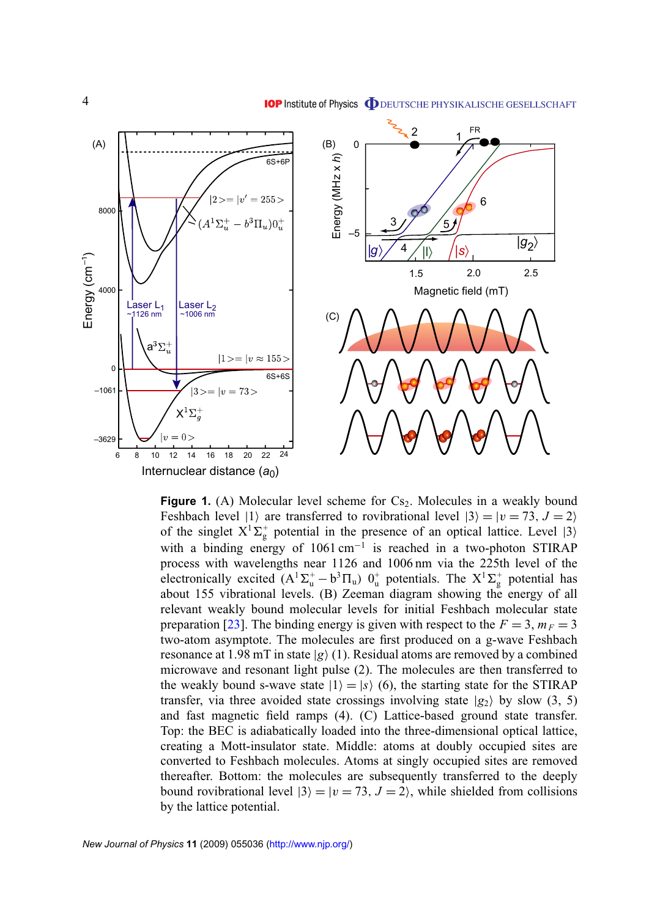<span id="page-4-0"></span>

**Figure 1.** (A) Molecular level scheme for  $Cs<sub>2</sub>$ . Molecules in a weakly bound Feshbach level  $|1\rangle$  are transferred to rovibrational level  $|3\rangle = |v = 73, J = 2\rangle$ of the singlet  $X^1\Sigma_g^+$  potential in the presence of an optical lattice. Level  $|3\rangle$ with a binding energy of 1061 cm<sup>-1</sup> is reached in a two-photon STIRAP process with wavelengths near 1126 and 1006 nm via the 225th level of the electronically excited  $(A^1\Sigma_u^+ - b^3\Pi_u)$   $0_u^+$  potentials. The  $X^1\Sigma_g^+$  potential has about 155 vibrational levels. (B) Zeeman diagram showing the energy of all relevant weakly bound molecular levels for initial Feshbach molecular state preparation [\[23\]](#page-10-0). The binding energy is given with respect to the  $F = 3$ ,  $m_F = 3$ two-atom asymptote. The molecules are first produced on a g-wave Feshbach resonance at 1.98 mT in state  $|g\rangle$  (1). Residual atoms are removed by a combined microwave and resonant light pulse (2). The molecules are then transferred to the weakly bound s-wave state  $|1\rangle = |s\rangle$  (6), the starting state for the STIRAP transfer, via three avoided state crossings involving state  $|g_2\rangle$  by slow (3, 5) and fast magnetic field ramps (4). (C) Lattice-based ground state transfer. Top: the BEC is adiabatically loaded into the three-dimensional optical lattice, creating a Mott-insulator state. Middle: atoms at doubly occupied sites are converted to Feshbach molecules. Atoms at singly occupied sites are removed thereafter. Bottom: the molecules are subsequently transferred to the deeply bound rovibrational level  $|3\rangle = |v = 73, J = 2\rangle$ , while shielded from collisions by the lattice potential.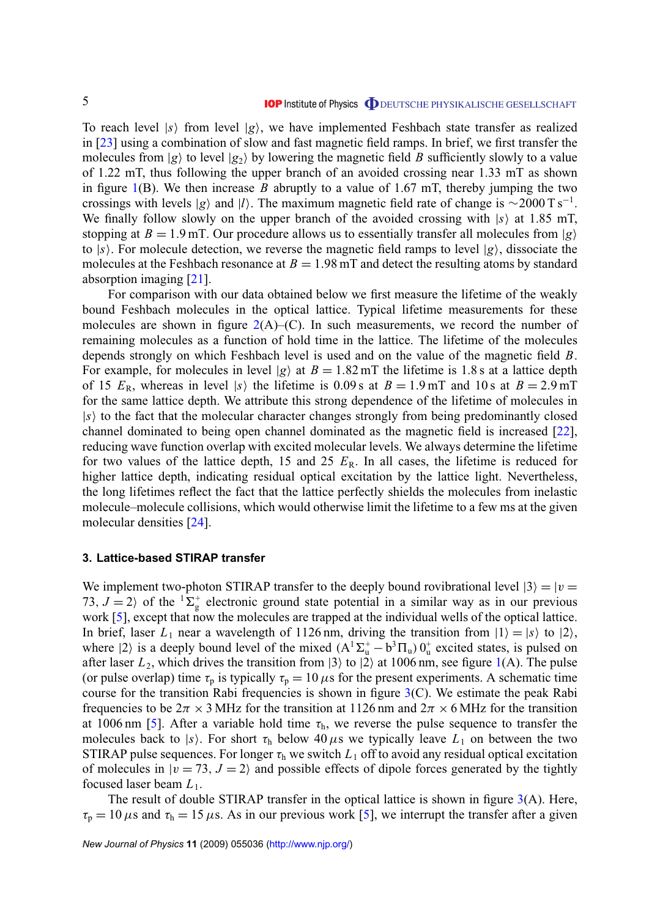<span id="page-5-0"></span>To reach level  $|s\rangle$  from level  $|g\rangle$ , we have implemented Feshbach state transfer as realized in [\[23\]](#page-10-0) using a combination of slow and fast magnetic field ramps. In brief, we first transfer the molecules from  $|g\rangle$  to level  $|g_2\rangle$  by lowering the magnetic field *B* sufficiently slowly to a value of 1.22 mT, thus following the upper branch of an avoided crossing near 1.33 mT as shown in figure  $1(B)$  $1(B)$ . We then increase *B* abruptly to a value of 1.67 mT, thereby jumping the two crossings with levels  $|g\rangle$  and  $|l\rangle$ . The maximum magnetic field rate of change is ~2000 T s<sup>-1</sup>. We finally follow slowly on the upper branch of the avoided crossing with  $|s\rangle$  at 1.85 mT, stopping at  $B = 1.9$  mT. Our procedure allows us to essentially transfer all molecules from  $|g\rangle$ to  $|s\rangle$ . For molecule detection, we reverse the magnetic field ramps to level  $|g\rangle$ , dissociate the molecules at the Feshbach resonance at  $B = 1.98$  mT and detect the resulting atoms by standard absorption imaging [\[21\]](#page-10-0).

For comparison with our data obtained below we first measure the lifetime of the weakly bound Feshbach molecules in the optical lattice. Typical lifetime measurements for these molecules are shown in figure  $2(A)$  $2(A)$ –(C). In such measurements, we record the number of remaining molecules as a function of hold time in the lattice. The lifetime of the molecules depends strongly on which Feshbach level is used and on the value of the magnetic field *B*. For example, for molecules in level  $|g\rangle$  at  $B = 1.82$  mT the lifetime is 1.8 s at a lattice depth of 15  $E_R$ , whereas in level |s| the lifetime is 0.09 s at  $B = 1.9$  mT and 10 s at  $B = 2.9$  mT for the same lattice depth. We attribute this strong dependence of the lifetime of molecules in  $|s\rangle$  to the fact that the molecular character changes strongly from being predominantly closed channel dominated to being open channel dominated as the magnetic field is increased [\[22\]](#page-10-0), reducing wave function overlap with excited molecular levels. We always determine the lifetime for two values of the lattice depth, 15 and 25  $E_R$ . In all cases, the lifetime is reduced for higher lattice depth, indicating residual optical excitation by the lattice light. Nevertheless, the long lifetimes reflect the fact that the lattice perfectly shields the molecules from inelastic molecule–molecule collisions, which would otherwise limit the lifetime to a few ms at the given molecular densities [\[24\]](#page-10-0).

#### **3. Lattice-based STIRAP transfer**

We implement two-photon STIRAP transfer to the deeply bound rovibrational level  $|3\rangle = |v|$ 73,  $J = 2$  of the <sup>1</sup> $\Sigma_g^+$  electronic ground state potential in a similar way as in our previous work [\[5\]](#page-10-0), except that now the molecules are trapped at the individual wells of the optical lattice. In brief, laser  $L_1$  near a wavelength of 1126 nm, driving the transition from  $|1\rangle = |s\rangle$  to  $|2\rangle$ , where  $|2\rangle$  is a deeply bound level of the mixed  $(A^{T}\Sigma_{u}^{+} - b^{3}\Pi_{u}) 0_{u}^{+}$  excited states, is pulsed on after laser  $L_2$ , which drives the transition from  $|3\rangle$  to  $|2\rangle$  at 1006 nm, see figure [1\(](#page-4-0)A). The pulse (or pulse overlap) time  $\tau_p$  is typically  $\tau_p = 10 \,\mu s$  for the present experiments. A schematic time course for the transition Rabi frequencies is shown in figure  $3(C)$  $3(C)$ . We estimate the peak Rabi frequencies to be  $2\pi \times 3$  MHz for the transition at 1126 nm and  $2\pi \times 6$  MHz for the transition at 1006 nm [\[5\]](#page-10-0). After a variable hold time  $\tau_h$ , we reverse the pulse sequence to transfer the molecules back to |s|. For short  $\tau_h$  below 40  $\mu$ s we typically leave  $L_1$  on between the two STIRAP pulse sequences. For longer  $\tau_h$  we switch  $L_1$  off to avoid any residual optical excitation of molecules in  $|v = 73, J = 2\rangle$  and possible effects of dipole forces generated by the tightly focused laser beam *L*1.

The result of double STIRAP transfer in the optical lattice is shown in figure  $3(A)$  $3(A)$ . Here,  $\tau_p = 10 \,\mu s$  and  $\tau_h = 15 \,\mu s$ . As in our previous work [\[5\]](#page-10-0), we interrupt the transfer after a given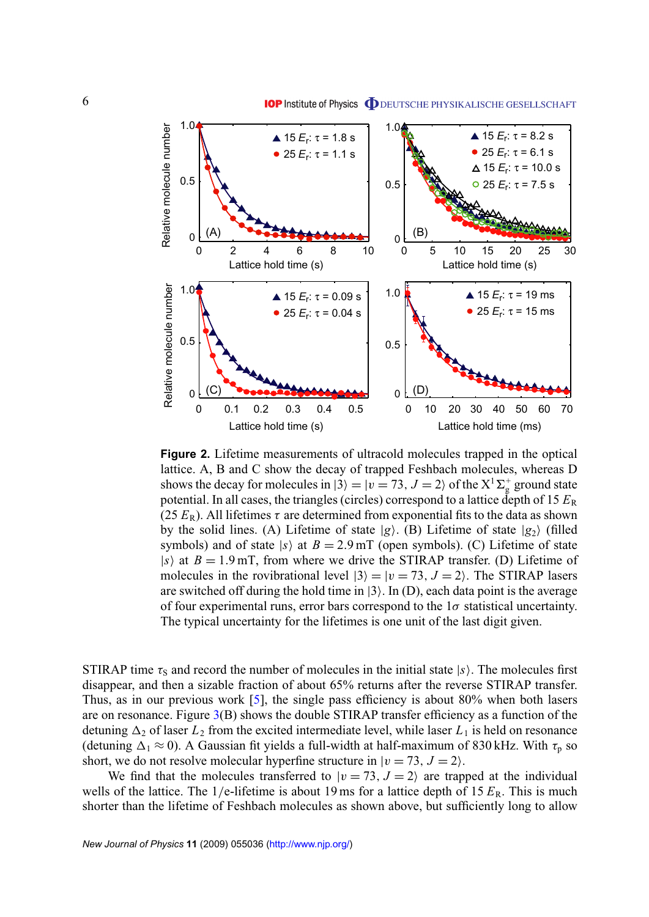<span id="page-6-0"></span>

**Figure 2.** Lifetime measurements of ultracold molecules trapped in the optical lattice. A, B and C show the decay of trapped Feshbach molecules, whereas D shows the decay for molecules in  $|3\rangle = |v = 73, J = 2\rangle$  of the X<sup>1</sup>  $\Sigma_{\rm g}^+$  ground state potential. In all cases, the triangles (circles) correspond to a lattice depth of  $15 E_R$ (25  $E_R$ ). All lifetimes  $\tau$  are determined from exponential fits to the data as shown by the solid lines. (A) Lifetime of state  $|g\rangle$ . (B) Lifetime of state  $|g_2\rangle$  (filled symbols) and of state  $|s\rangle$  at  $B = 2.9$  mT (open symbols). (C) Lifetime of state  $|s\rangle$  at  $B = 1.9$  mT, from where we drive the STIRAP transfer. (D) Lifetime of molecules in the rovibrational level  $|3\rangle = |v = 73, J = 2\rangle$ . The STIRAP lasers are switched off during the hold time in  $|3\rangle$ . In (D), each data point is the average of four experimental runs, error bars correspond to the  $1\sigma$  statistical uncertainty. The typical uncertainty for the lifetimes is one unit of the last digit given.

STIRAP time  $\tau_s$  and record the number of molecules in the initial state  $|s\rangle$ . The molecules first disappear, and then a sizable fraction of about 65% returns after the reverse STIRAP transfer. Thus, as in our previous work [\[5\]](#page-10-0), the single pass efficiency is about 80% when both lasers are on resonance. Figure  $3(B)$  $3(B)$  shows the double STIRAP transfer efficiency as a function of the detuning  $\Delta_2$  of laser  $L_2$  from the excited intermediate level, while laser  $L_1$  is held on resonance (detuning  $\Delta_1 \approx 0$ ). A Gaussian fit yields a full-width at half-maximum of 830 kHz. With  $\tau_p$  so short, we do not resolve molecular hyperfine structure in  $|v = 73, J = 2$ .

We find that the molecules transferred to  $|v = 73, J = 2\rangle$  are trapped at the individual wells of the lattice. The  $1/e$ -lifetime is about 19 ms for a lattice depth of 15  $E_R$ . This is much shorter than the lifetime of Feshbach molecules as shown above, but sufficiently long to allow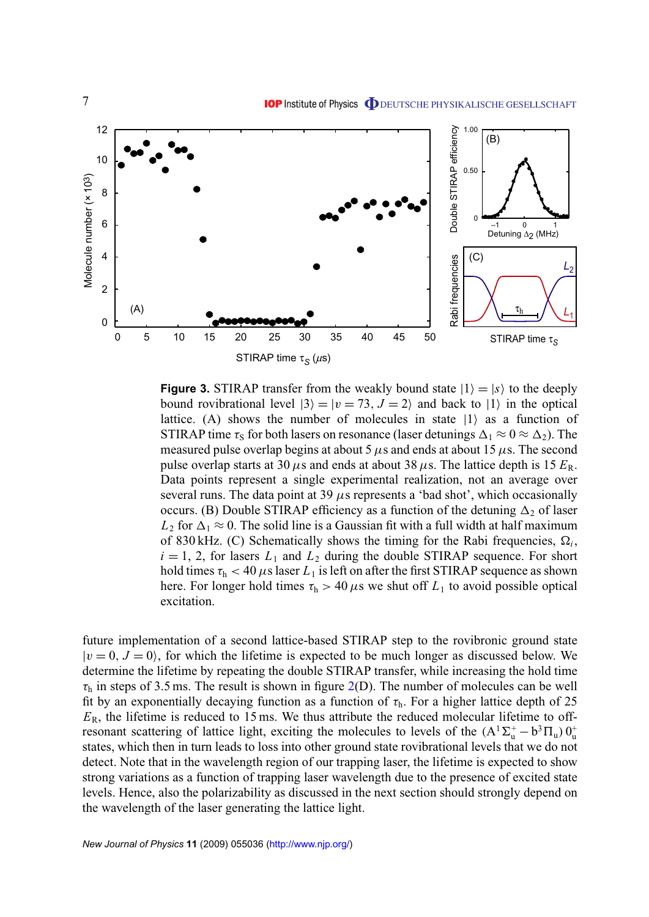<span id="page-7-0"></span>

**Figure 3.** STIRAP transfer from the weakly bound state  $|1\rangle = |s\rangle$  to the deeply bound rovibrational level  $|3\rangle = |v = 73, J = 2\rangle$  and back to  $|1\rangle$  in the optical lattice. (A) shows the number of molecules in state  $|1\rangle$  as a function of STIRAP time  $\tau_s$  for both lasers on resonance (laser detunings  $\Delta_1 \approx 0 \approx \Delta_2$ ). The measured pulse overlap begins at about 5  $\mu$ s and ends at about 15  $\mu$ s. The second pulse overlap starts at 30  $\mu$ s and ends at about 38  $\mu$ s. The lattice depth is 15  $E_R$ . Data points represent a single experimental realization, not an average over several runs. The data point at 39  $\mu$ s represents a 'bad shot', which occasionally occurs. (B) Double STIRAP efficiency as a function of the detuning  $\Delta_2$  of laser  $L_2$  for  $\Delta_1 \approx 0$ . The solid line is a Gaussian fit with a full width at half maximum of 830 kHz. (C) Schematically shows the timing for the Rabi frequencies,  $\Omega_i$ ,  $i = 1, 2$ , for lasers  $L_1$  and  $L_2$  during the double STIRAP sequence. For short hold times  $\tau_h < 40 \,\mu s$  laser  $L_1$  is left on after the first STIRAP sequence as shown here. For longer hold times  $\tau_h > 40 \,\mu s$  we shut off  $L_1$  to avoid possible optical excitation.

future implementation of a second lattice-based STIRAP step to the rovibronic ground state  $|v = 0, J = 0\rangle$ , for which the lifetime is expected to be much longer as discussed below. We determine the lifetime by repeating the double STIRAP transfer, while increasing the hold time  $\tau_h$  in steps of 3.5 ms. The result is shown in figure [2\(](#page-6-0)D). The number of molecules can be well fit by an exponentially decaying function as a function of  $\tau_h$ . For a higher lattice depth of 25  $E_R$ , the lifetime is reduced to 15 ms. We thus attribute the reduced molecular lifetime to offresonant scattering of lattice light, exciting the molecules to levels of the  $(A^1\Sigma_u^+ - b^3\Pi_u) 0_u^+$ states, which then in turn leads to loss into other ground state rovibrational levels that we do not detect. Note that in the wavelength region of our trapping laser, the lifetime is expected to show strong variations as a function of trapping laser wavelength due to the presence of excited state levels. Hence, also the polarizability as discussed in the next section should strongly depend on the wavelength of the laser generating the lattice light.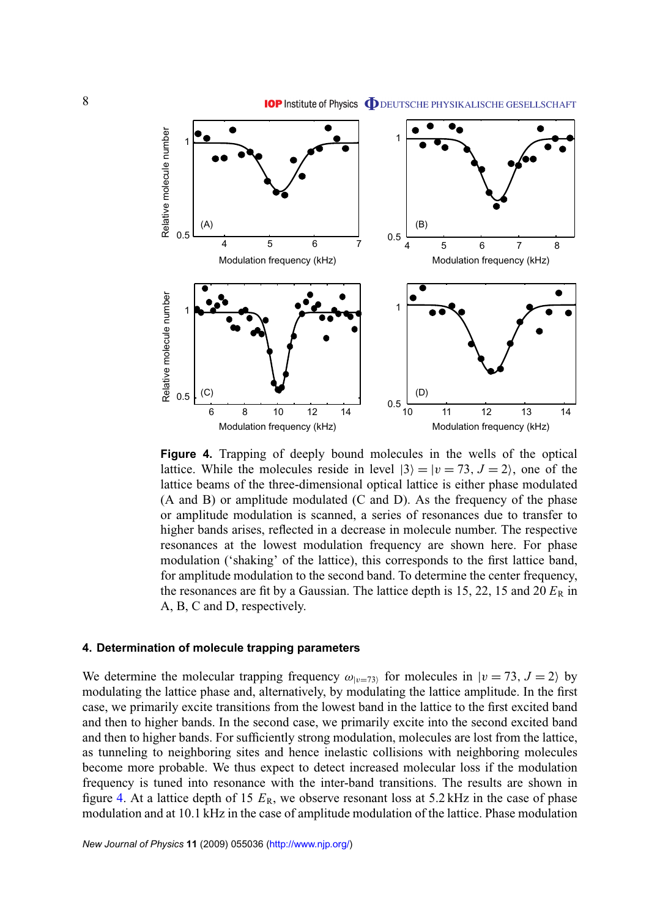

<span id="page-8-0"></span>

**Figure 4.** Trapping of deeply bound molecules in the wells of the optical lattice. While the molecules reside in level  $|3\rangle = |v = 73, J = 2\rangle$ , one of the lattice beams of the three-dimensional optical lattice is either phase modulated (A and B) or amplitude modulated (C and D). As the frequency of the phase or amplitude modulation is scanned, a series of resonances due to transfer to higher bands arises, reflected in a decrease in molecule number. The respective resonances at the lowest modulation frequency are shown here. For phase modulation ('shaking' of the lattice), this corresponds to the first lattice band, for amplitude modulation to the second band. To determine the center frequency, the resonances are fit by a Gaussian. The lattice depth is 15, 22, 15 and 20  $E_R$  in A, B, C and D, respectively.

#### **4. Determination of molecule trapping parameters**

We determine the molecular trapping frequency  $\omega_{|v|=73}$  for molecules in  $|v=73, J=2\rangle$  by modulating the lattice phase and, alternatively, by modulating the lattice amplitude. In the first case, we primarily excite transitions from the lowest band in the lattice to the first excited band and then to higher bands. In the second case, we primarily excite into the second excited band and then to higher bands. For sufficiently strong modulation, molecules are lost from the lattice, as tunneling to neighboring sites and hence inelastic collisions with neighboring molecules become more probable. We thus expect to detect increased molecular loss if the modulation frequency is tuned into resonance with the inter-band transitions. The results are shown in figure 4. At a lattice depth of 15  $E_R$ , we observe resonant loss at 5.2 kHz in the case of phase modulation and at 10.1 kHz in the case of amplitude modulation of the lattice. Phase modulation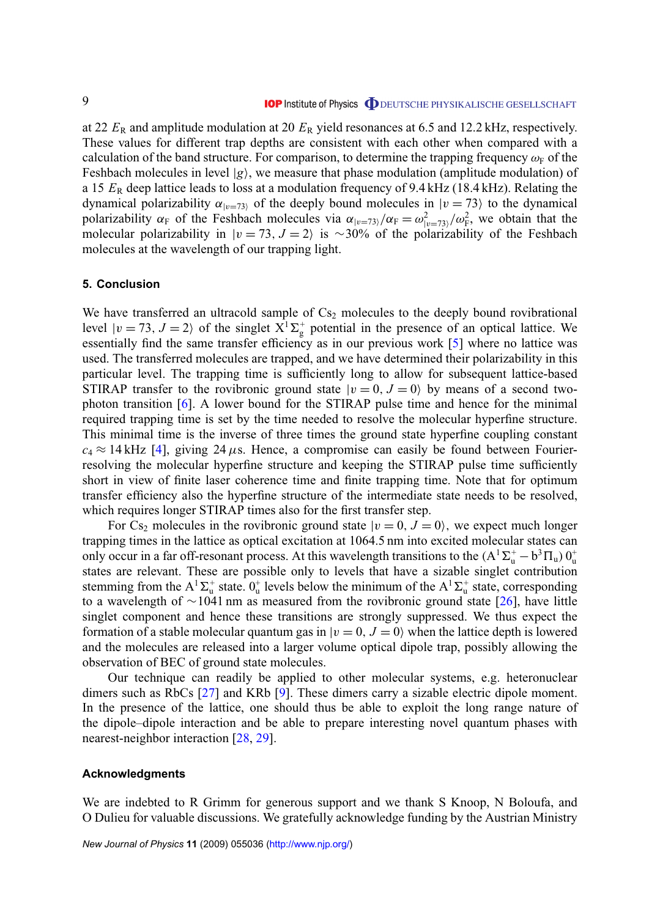<span id="page-9-0"></span>at 22 *E*<sup>R</sup> and amplitude modulation at 20 *E*<sup>R</sup> yield resonances at 6.5 and 12.2 kHz, respectively. These values for different trap depths are consistent with each other when compared with a calculation of the band structure. For comparison, to determine the trapping frequency  $\omega_F$  of the Feshbach molecules in level  $|g\rangle$ , we measure that phase modulation (amplitude modulation) of a 15 *E*<sup>R</sup> deep lattice leads to loss at a modulation frequency of 9.4 kHz (18.4 kHz). Relating the dynamical polarizability  $\alpha_{|v=73}$  of the deeply bound molecules in  $|v=73\rangle$  to the dynamical polarizability  $\alpha_F$  of the Feshbach molecules via  $\alpha_{|v=73\rangle}/\alpha_F = \omega_{|v=73\rangle}^2/\omega_F^2$ , we obtain that the molecular polarizability in  $|v = 73, J = 2\rangle$  is ~30% of the polarizability of the Feshbach molecules at the wavelength of our trapping light.

#### **5. Conclusion**

We have transferred an ultracold sample of  $Cs<sub>2</sub>$  molecules to the deeply bound rovibrational level  $|v = 73$ ,  $J = 2$  of the singlet  $X^T \Sigma_g^+$  potential in the presence of an optical lattice. We essentially find the same transfer efficiency as in our previous work [\[5\]](#page-10-0) where no lattice was used. The transferred molecules are trapped, and we have determined their polarizability in this particular level. The trapping time is sufficiently long to allow for subsequent lattice-based STIRAP transfer to the rovibronic ground state  $|v = 0, J = 0\rangle$  by means of a second twophoton transition [\[6\]](#page-10-0). A lower bound for the STIRAP pulse time and hence for the minimal required trapping time is set by the time needed to resolve the molecular hyperfine structure. This minimal time is the inverse of three times the ground state hyperfine coupling constant  $c_4 \approx 14 \text{ kHz}$  [\[4\]](#page-10-0), giving 24  $\mu$ s. Hence, a compromise can easily be found between Fourierresolving the molecular hyperfine structure and keeping the STIRAP pulse time sufficiently short in view of finite laser coherence time and finite trapping time. Note that for optimum transfer efficiency also the hyperfine structure of the intermediate state needs to be resolved, which requires longer STIRAP times also for the first transfer step.

For Cs<sub>2</sub> molecules in the rovibronic ground state  $|v = 0, J = 0\rangle$ , we expect much longer trapping times in the lattice as optical excitation at 1064.5 nm into excited molecular states can only occur in a far off-resonant process. At this wavelength transitions to the  $(A^T\Sigma^+_u - b^3\Pi_u) 0^+_u$ states are relevant. These are possible only to levels that have a sizable singlet contribution stemming from the  $A^1\Sigma_u^+$  state.  $0_u^+$  levels below the minimum of the  $A^1\Sigma_u^+$  state, corresponding to a wavelength of ∼1041 nm as measured from the rovibronic ground state [\[26\]](#page-10-0), have little singlet component and hence these transitions are strongly suppressed. We thus expect the formation of a stable molecular quantum gas in  $|v = 0, J = 0\rangle$  when the lattice depth is lowered and the molecules are released into a larger volume optical dipole trap, possibly allowing the observation of BEC of ground state molecules.

Our technique can readily be applied to other molecular systems, e.g. heteronuclear dimers such as RbCs [\[27\]](#page-10-0) and KRb [\[9\]](#page-10-0). These dimers carry a sizable electric dipole moment. In the presence of the lattice, one should thus be able to exploit the long range nature of the dipole–dipole interaction and be able to prepare interesting novel quantum phases with nearest-neighbor interaction [\[28,](#page-10-0) [29\]](#page-10-0).

#### **Acknowledgments**

We are indebted to R Grimm for generous support and we thank S Knoop, N Boloufa, and O Dulieu for valuable discussions. We gratefully acknowledge funding by the Austrian Ministry